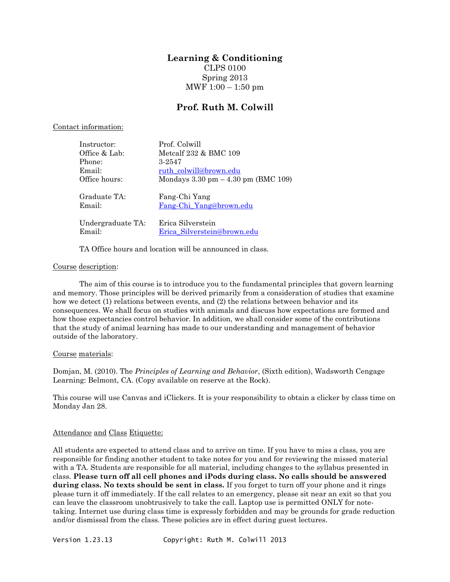# **Learning & Conditioning**

CLPS 0100 Spring 2013 MWF  $1:00 - 1:50$  pm

## **Prof. Ruth M. Colwill**

#### Contact information:

| Instructor:                 | Prof. Colwill                                         |
|-----------------------------|-------------------------------------------------------|
| Office & Lab:               | Metcalf 232 & BMC 109                                 |
| Phone:                      | 3-2547                                                |
| Email:                      | ruth colwill@brown.edu                                |
| Office hours:               | Mondays $3.30 \text{ pm} - 4.30 \text{ pm}$ (BMC 109) |
| Graduate TA:                | Fang-Chi Yang                                         |
| Email:                      | Fang-Chi_Yang@brown.edu                               |
| Undergraduate TA:<br>Email: | Erica Silverstein<br>Erica_Silverstein@brown.edu      |

TA Office hours and location will be announced in class.

### Course description:

The aim of this course is to introduce you to the fundamental principles that govern learning and memory. Those principles will be derived primarily from a consideration of studies that examine how we detect (1) relations between events, and (2) the relations between behavior and its consequences. We shall focus on studies with animals and discuss how expectations are formed and how those expectancies control behavior. In addition, we shall consider some of the contributions that the study of animal learning has made to our understanding and management of behavior outside of the laboratory.

#### Course materials:

Domjan, M. (2010). The *Principles of Learning and Behavior*, (Sixth edition), Wadsworth Cengage Learning: Belmont, CA. (Copy available on reserve at the Rock).

This course will use Canvas and iClickers. It is your responsibility to obtain a clicker by class time on Monday Jan 28.

#### Attendance and Class Etiquette:

All students are expected to attend class and to arrive on time. If you have to miss a class, you are responsible for finding another student to take notes for you and for reviewing the missed material with a TA. Students are responsible for all material, including changes to the syllabus presented in class. **Please turn off all cell phones and iPods during class. No calls should be answered during class. No texts should be sent in class.** If you forget to turn off your phone and it rings please turn it off immediately. If the call relates to an emergency, please sit near an exit so that you can leave the classroom unobtrusively to take the call. Laptop use is permitted ONLY for notetaking. Internet use during class time is expressly forbidden and may be grounds for grade reduction and/or dismissal from the class. These policies are in effect during guest lectures.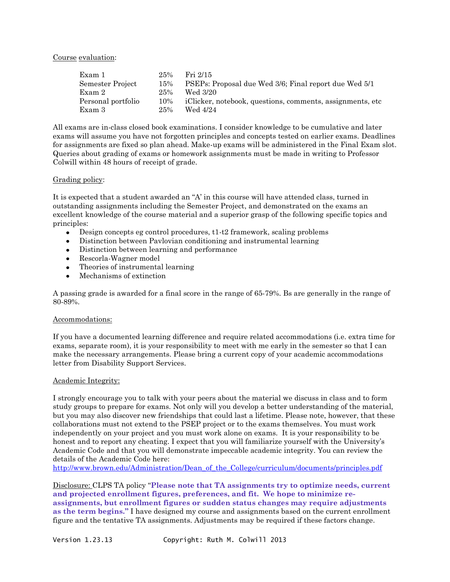Course evaluation:

| Exam 1             | 25% | Fri 2/15                                                   |
|--------------------|-----|------------------------------------------------------------|
| Semester Project   | 15% | PSEPs: Proposal due Wed 3/6; Final report due Wed 5/1      |
| Exam 2             | 25% | Wed 3/20                                                   |
| Personal portfolio | 10% | iClicker, notebook, questions, comments, assignments, etc. |
| Exam 3             | 25% | Wed 4/24                                                   |

All exams are in-class closed book examinations. I consider knowledge to be cumulative and later exams will assume you have not forgotten principles and concepts tested on earlier exams. Deadlines for assignments are fixed so plan ahead. Make-up exams will be administered in the Final Exam slot. Queries about grading of exams or homework assignments must be made in writing to Professor Colwill within 48 hours of receipt of grade.

#### Grading policy:

It is expected that a student awarded an "A' in this course will have attended class, turned in outstanding assignments including the Semester Project, and demonstrated on the exams an excellent knowledge of the course material and a superior grasp of the following specific topics and principles:

- Design concepts eg control procedures, t1-t2 framework, scaling problems  $\bullet$
- Distinction between Pavlovian conditioning and instrumental learning
- $\bullet$ Distinction between learning and performance
- $\bullet$ Rescorla-Wagner model
- Theories of instrumental learning  $\bullet$
- Mechanisms of extinction

A passing grade is awarded for a final score in the range of 65-79%. Bs are generally in the range of 80-89%.

#### Accommodations:

If you have a documented learning difference and require related accommodations (i.e. extra time for exams, separate room), it is your responsibility to meet with me early in the semester so that I can make the necessary arrangements. Please bring a current copy of your academic accommodations letter from Disability Support Services.

#### Academic Integrity:

I strongly encourage you to talk with your peers about the material we discuss in class and to form study groups to prepare for exams. Not only will you develop a better understanding of the material, but you may also discover new friendships that could last a lifetime. Please note, however, that these collaborations must not extend to the PSEP project or to the exams themselves. You must work independently on your project and you must work alone on exams. It is your responsibility to be honest and to report any cheating. I expect that you will familiarize yourself with the University's Academic Code and that you will demonstrate impeccable academic integrity. You can review the details of the Academic Code here:

[http://www.brown.edu/Administration/Dean\\_of\\_the\\_College/curriculum/documents/principles.pdf](http://www.brown.edu/Administration/Dean_of_the_College/curriculum/documents/principles.pdf)

Disclosure: CLPS TA policy "**Please note that TA assignments try to optimize needs, current and projected enrollment figures, preferences, and fit. We hope to minimize reassignments, but enrollment figures or sudden status changes may require adjustments as the term begins."** I have designed my course and assignments based on the current enrollment figure and the tentative TA assignments. Adjustments may be required if these factors change.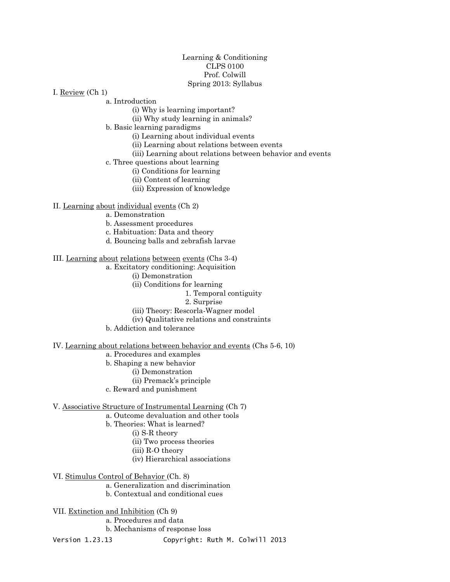#### Learning & Conditioning CLPS 0100 Prof. Colwill Spring 2013: Syllabus

I. Review (Ch 1)

a. Introduction

- (i) Why is learning important?
- (ii) Why study learning in animals?

b. Basic learning paradigms

(i) Learning about individual events

(ii) Learning about relations between events

(iii) Learning about relations between behavior and events

c. Three questions about learning

- (i) Conditions for learning
- (ii) Content of learning
- (iii) Expression of knowledge

II. Learning about individual events (Ch 2)

a. Demonstration

b. Assessment procedures

c. Habituation: Data and theory

d. Bouncing balls and zebrafish larvae

#### III. Learning about relations between events (Chs 3-4)

a. Excitatory conditioning: Acquisition

- (i) Demonstration
- (ii) Conditions for learning
	- 1. Temporal contiguity
	- 2. Surprise
- (iii) Theory: Rescorla-Wagner model
- (iv) Qualitative relations and constraints

b. Addiction and tolerance

IV. Learning about relations between behavior and events (Chs 5-6, 10)

a. Procedures and examples

- b. Shaping a new behavior
	- (i) Demonstration
		- (ii) Premack's principle
- c. Reward and punishment

V. Associative Structure of Instrumental Learning (Ch 7)

a. Outcome devaluation and other tools

- b. Theories: What is learned?
	- (i) S-R theory
		- (ii) Two process theories
		- (iii) R-O theory
		- (iv) Hierarchical associations

VI. Stimulus Control of Behavior (Ch. 8)

- a. Generalization and discrimination
- b. Contextual and conditional cues
- VII. Extinction and Inhibition (Ch 9)
	- a. Procedures and data
	- b. Mechanisms of response loss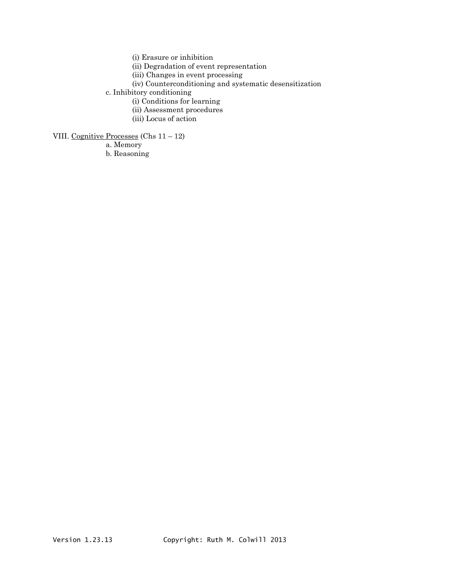(i) Erasure or inhibition

(ii) Degradation of event representation

(iii) Changes in event processing

(iv) Counterconditioning and systematic desensitization

c. Inhibitory conditioning

(i) Conditions for learning

- (ii) Assessment procedures
- (iii) Locus of action

VIII. Cognitive Processes (Chs 11 – 12)

a. Memory

b. Reasoning